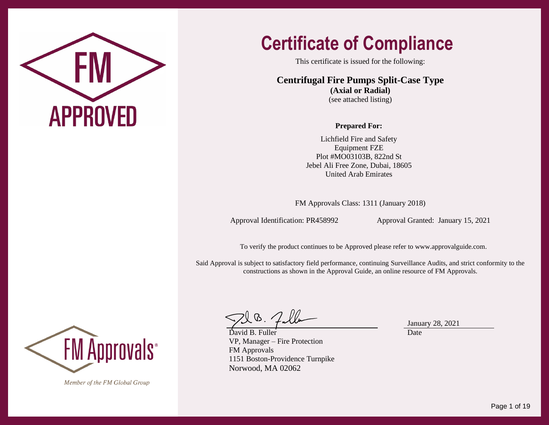

This certificate is issued for the following:

**Centrifugal Fire Pumps Split-Case Type (Axial or Radial)**  (see attached listing)

#### **Prepared For:**

Lichfield Fire and Safety Equipment FZE Plot #MO03103B, 822nd St Jebel Ali Free Zone, Dubai, 18605 United Arab Emirates

FM Approvals Class: 1311 (January 2018)

Approval Identification: PR458992 Approval Granted: January 15, 2021

To verify the product continues to be Approved please refer t[o www.approvalguide.com.](http://www.approvalguide.com/)

Said Approval is subject to satisfactory field performance, continuing Surveillance Audits, and strict conformity to the constructions as shown in the Approval Guide, an online resource of FM Approvals.

 $\setminus \mathbb{G}$  .  $\diagup$ 

David B. Fuller VP, Manager – Fire Protection FM Approvals 1151 Boston-Providence Turnpike Norwood, MA 02062

January 28, 2021 Date



Member of the FM Global Group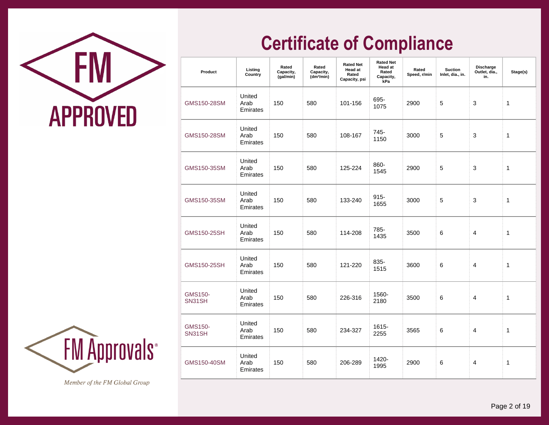

| Product                  | Listing<br>Country         | Rated<br>Capacity,<br>(gal/min) | Rated<br>Capacity,<br>(dm <sup>3</sup> /min) | <b>Rated Net</b><br><b>Head at</b><br>Rated<br>Capacity, psi | <b>Rated Net</b><br><b>Head at</b><br>Rated<br>Capacity,<br>kPa | Rated<br>Speed, r/min | <b>Suction</b><br>Inlet, dia., in. | Discharge<br>Outlet, dia.,<br>in. | Stage(s)     |
|--------------------------|----------------------------|---------------------------------|----------------------------------------------|--------------------------------------------------------------|-----------------------------------------------------------------|-----------------------|------------------------------------|-----------------------------------|--------------|
| GMS150-28SM              | United<br>Arab<br>Emirates | 150                             | 580                                          | 101-156                                                      | 695-<br>1075                                                    | 2900                  | 5                                  | 3                                 | 1            |
| GMS150-28SM              | United<br>Arab<br>Emirates | 150                             | 580                                          | 108-167                                                      | 745-<br>1150                                                    | 3000                  | 5                                  | 3                                 | $\mathbf{1}$ |
| GMS150-35SM              | United<br>Arab<br>Emirates | 150                             | 580                                          | 125-224                                                      | 860-<br>1545                                                    | 2900                  | 5                                  | 3                                 | 1            |
| GMS150-35SM              | United<br>Arab<br>Emirates | 150                             | 580                                          | 133-240                                                      | $915 -$<br>1655                                                 | 3000                  | 5                                  | 3                                 | $\mathbf{1}$ |
| GMS150-25SH              | United<br>Arab<br>Emirates | 150                             | 580                                          | 114-208                                                      | 785-<br>1435                                                    | 3500                  | 6                                  | 4                                 | 1            |
| GMS150-25SH              | United<br>Arab<br>Emirates | 150                             | 580                                          | 121-220                                                      | 835-<br>1515                                                    | 3600                  | 6                                  | 4                                 | $\mathbf{1}$ |
| <b>GMS150-</b><br>SN31SH | United<br>Arab<br>Emirates | 150                             | 580                                          | 226-316                                                      | 1560-<br>2180                                                   | 3500                  | 6                                  | 4                                 | $\mathbf{1}$ |
| <b>GMS150-</b><br>SN31SH | United<br>Arab<br>Emirates | 150                             | 580                                          | 234-327                                                      | 1615-<br>2255                                                   | 3565                  | 6                                  | 4                                 | 1            |
| GMS150-40SM              | United<br>Arab<br>Emirates | 150                             | 580                                          | 206-289                                                      | 1420-<br>1995                                                   | 2900                  | 6                                  | 4                                 | $\mathbf{1}$ |

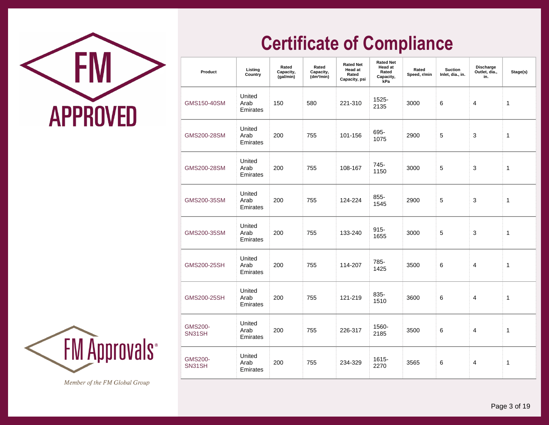

| Product                  | Listing<br>Country         | Rated<br>Capacity,<br>(gal/min) | Rated<br>Capacity,<br>(dm <sup>3</sup> /min) | <b>Rated Net</b><br><b>Head at</b><br>Rated<br>Capacity, psi | <b>Rated Net</b><br><b>Head at</b><br>Rated<br>Capacity,<br>kPa | Rated<br>Speed, r/min | <b>Suction</b><br>Inlet, dia., in. | <b>Discharge</b><br>Outlet, dia.,<br>in. | Stage(s)     |
|--------------------------|----------------------------|---------------------------------|----------------------------------------------|--------------------------------------------------------------|-----------------------------------------------------------------|-----------------------|------------------------------------|------------------------------------------|--------------|
| GMS150-40SM              | United<br>Arab<br>Emirates | 150                             | 580                                          | 221-310                                                      | 1525-<br>2135                                                   | 3000                  | 6                                  | 4                                        | 1            |
| GMS200-28SM              | United<br>Arab<br>Emirates | 200                             | 755                                          | 101-156                                                      | 695-<br>1075                                                    | 2900                  | 5                                  | 3                                        | $\mathbf{1}$ |
| GMS200-28SM              | United<br>Arab<br>Emirates | 200                             | 755                                          | 108-167                                                      | 745-<br>1150                                                    | 3000                  | 5                                  | 3                                        | 1            |
| GMS200-35SM              | United<br>Arab<br>Emirates | 200                             | 755                                          | 124-224                                                      | $855 -$<br>1545                                                 | 2900                  | 5                                  | 3                                        | 1            |
| GMS200-35SM              | United<br>Arab<br>Emirates | 200                             | 755                                          | 133-240                                                      | $915 -$<br>1655                                                 | 3000                  | 5                                  | 3                                        | $\mathbf 1$  |
| GMS200-25SH              | United<br>Arab<br>Emirates | 200                             | 755                                          | 114-207                                                      | 785-<br>1425                                                    | 3500                  | 6                                  | 4                                        | 1            |
| GMS200-25SH              | United<br>Arab<br>Emirates | 200                             | 755                                          | 121-219                                                      | 835-<br>1510                                                    | 3600                  | 6                                  | 4                                        | 1            |
| <b>GMS200-</b><br>SN31SH | United<br>Arab<br>Emirates | 200                             | 755                                          | 226-317                                                      | 1560-<br>2185                                                   | 3500                  | 6                                  | 4                                        | 1            |
| <b>GMS200-</b><br>SN31SH | United<br>Arab<br>Emirates | 200                             | 755                                          | 234-329                                                      | 1615-<br>2270                                                   | 3565                  | 6                                  | 4                                        | $\mathbf{1}$ |

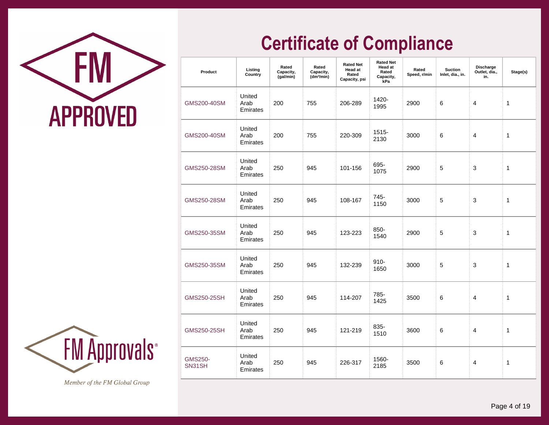

| Product                  | Listing<br>Country         | Rated<br>Capacity,<br>(gal/min) | Rated<br>Capacity,<br>(dm <sup>3</sup> /min) | <b>Rated Net</b><br><b>Head at</b><br>Rated<br>Capacity, psi | <b>Rated Net</b><br><b>Head at</b><br>Rated<br>Capacity,<br>kPa | Rated<br>Speed, r/min | <b>Suction</b><br>Inlet, dia., in. | <b>Discharge</b><br>Outlet, dia.,<br>in. | Stage(s)     |
|--------------------------|----------------------------|---------------------------------|----------------------------------------------|--------------------------------------------------------------|-----------------------------------------------------------------|-----------------------|------------------------------------|------------------------------------------|--------------|
| GMS200-40SM              | United<br>Arab<br>Emirates | 200                             | 755                                          | 206-289                                                      | 1420-<br>1995                                                   | 2900                  | 6                                  | 4                                        | 1            |
| GMS200-40SM              | United<br>Arab<br>Emirates | 200                             | 755                                          | 220-309                                                      | $1515 -$<br>2130                                                | 3000                  | 6                                  | 4                                        | 1            |
| GMS250-28SM              | United<br>Arab<br>Emirates | 250                             | 945                                          | 101-156                                                      | 695-<br>1075                                                    | 2900                  | 5                                  | 3                                        | $\mathbf{1}$ |
| GMS250-28SM              | United<br>Arab<br>Emirates | 250                             | 945                                          | 108-167                                                      | 745-<br>1150                                                    | 3000                  | 5                                  | 3                                        | 1            |
| GMS250-35SM              | United<br>Arab<br>Emirates | 250                             | 945                                          | 123-223                                                      | 850-<br>1540                                                    | 2900                  | 5                                  | 3                                        | 1            |
| GMS250-35SM              | United<br>Arab<br>Emirates | 250                             | 945                                          | 132-239                                                      | $910 -$<br>1650                                                 | 3000                  | 5                                  | 3                                        | 1            |
| GMS250-25SH              | United<br>Arab<br>Emirates | 250                             | 945                                          | 114-207                                                      | 785-<br>1425                                                    | 3500                  | 6                                  | 4                                        | 1            |
| GMS250-25SH              | United<br>Arab<br>Emirates | 250                             | 945                                          | 121-219                                                      | 835-<br>1510                                                    | 3600                  | 6                                  | 4                                        | 1            |
| <b>GMS250-</b><br>SN31SH | United<br>Arab<br>Emirates | 250                             | 945                                          | 226-317                                                      | 1560-<br>2185                                                   | 3500                  | 6                                  | 4                                        | 1            |

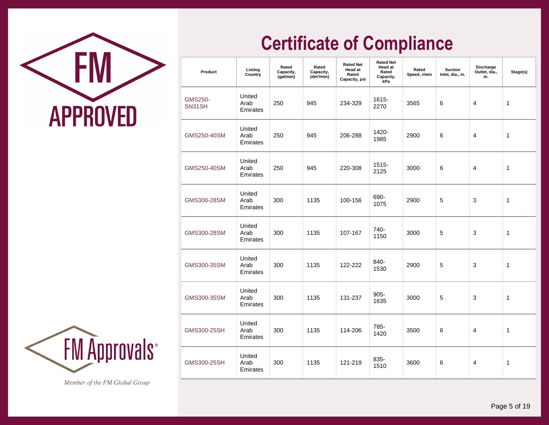

| Product                  | Listing<br>Country         | Rated<br>Capacity,<br>(gal/min) | Rated<br>Capacity,<br>(dm <sup>3</sup> /min) | <b>Rated Net</b><br>Head at<br>Rated<br>Capacity, psi | <b>Rated Net</b><br><b>Head at</b><br>Rated<br>Capacity,<br>kPa | Rated<br>Speed, r/min | <b>Suction</b><br>Inlet, dia., in. | <b>Discharge</b><br>Outlet, dia.,<br>in. | Stage(s) |
|--------------------------|----------------------------|---------------------------------|----------------------------------------------|-------------------------------------------------------|-----------------------------------------------------------------|-----------------------|------------------------------------|------------------------------------------|----------|
| <b>GMS250-</b><br>SN31SH | United<br>Arab<br>Emirates | 250                             | 945                                          | 234-329                                               | 1615-<br>2270                                                   | 3565                  | 6                                  | 4                                        | 1        |
| GMS250-40SM              | United<br>Arab<br>Emirates | 250                             | 945                                          | 206-288                                               | 1420-<br>1985                                                   | 2900                  | 6                                  | 4                                        | 1        |
| GMS250-40SM              | United<br>Arab<br>Emirates | 250                             | 945                                          | 220-308                                               | 1515-<br>2125                                                   | 3000                  | 6                                  | 4                                        | 1        |
| GMS300-28SM              | United<br>Arab<br>Emirates | 300                             | 1135                                         | 100-156                                               | 690-<br>1075                                                    | 2900                  | 5                                  | 3                                        | 1        |
| GMS300-28SM              | United<br>Arab<br>Emirates | 300                             | 1135                                         | 107-167                                               | 740-<br>1150                                                    | 3000                  | 5                                  | 3                                        | 1        |
| GMS300-35SM              | United<br>Arab<br>Emirates | 300                             | 1135                                         | 122-222                                               | 840-<br>1530                                                    | 2900                  | 5                                  | 3                                        | 1        |
| GMS300-35SM              | United<br>Arab<br>Emirates | 300                             | 1135                                         | 131-237                                               | $905 -$<br>1635                                                 | 3000                  | 5                                  | 3                                        | 1        |
| GMS300-25SH              | United<br>Arab<br>Emirates | 300                             | 1135                                         | 114-206                                               | 785-<br>1420                                                    | 3500                  | 6                                  | 4                                        | 1        |
| GMS300-25SH              | United<br>Arab<br>Emirates | 300                             | 1135                                         | 121-219                                               | 835-<br>1510                                                    | 3600                  | 6                                  | 4                                        | 1        |

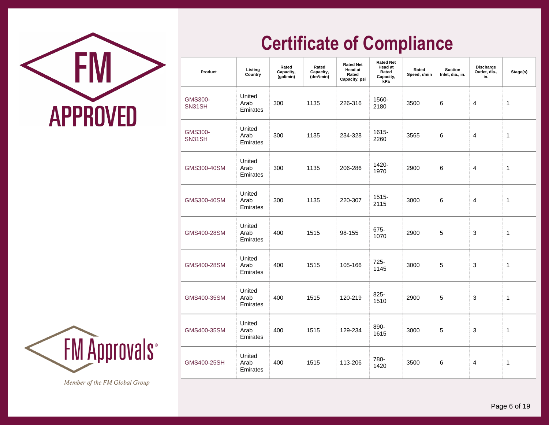



| Product                  | Listing<br>Country         | Rated<br>Capacity,<br>(gal/min) | Rated<br>Capacity,<br>(dm <sup>3</sup> /min) | <b>Rated Net</b><br><b>Head at</b><br>Rated<br>Capacity, psi | <b>Rated Net</b><br><b>Head at</b><br>Rated<br>Capacity,<br>kPa | Rated<br>Speed, r/min | <b>Suction</b><br>Inlet, dia., in. | Discharge<br>Outlet, dia.,<br>in. | Stage(s)     |
|--------------------------|----------------------------|---------------------------------|----------------------------------------------|--------------------------------------------------------------|-----------------------------------------------------------------|-----------------------|------------------------------------|-----------------------------------|--------------|
| <b>GMS300-</b><br>SN31SH | United<br>Arab<br>Emirates | 300                             | 1135                                         | 226-316                                                      | 1560-<br>2180                                                   | 3500                  | 6                                  | 4                                 | 1            |
| <b>GMS300-</b><br>SN31SH | United<br>Arab<br>Emirates | 300                             | 1135                                         | 234-328                                                      | 1615-<br>2260                                                   | 3565                  | 6                                  | 4                                 | $\mathbf 1$  |
| GMS300-40SM              | United<br>Arab<br>Emirates | 300                             | 1135                                         | 206-286                                                      | 1420-<br>1970                                                   | 2900                  | 6                                  | 4                                 | 1            |
| GMS300-40SM              | United<br>Arab<br>Emirates | 300                             | 1135                                         | 220-307                                                      | 1515-<br>2115                                                   | 3000                  | 6                                  | 4                                 | $\mathbf{1}$ |
| GMS400-28SM              | United<br>Arab<br>Emirates | 400                             | 1515                                         | 98-155                                                       | 675-<br>1070                                                    | 2900                  | 5                                  | 3                                 | 1            |
| GMS400-28SM              | United<br>Arab<br>Emirates | 400                             | 1515                                         | 105-166                                                      | 725-<br>1145                                                    | 3000                  | 5                                  | 3                                 | 1            |
| GMS400-35SM              | United<br>Arab<br>Emirates | 400                             | 1515                                         | 120-219                                                      | 825-<br>1510                                                    | 2900                  | 5                                  | 3                                 | 1            |
| GMS400-35SM              | United<br>Arab<br>Emirates | 400                             | 1515                                         | 129-234                                                      | 890-<br>1615                                                    | 3000                  | 5                                  | 3                                 | 1            |
| GMS400-25SH              | United<br>Arab<br>Emirates | 400                             | 1515                                         | 113-206                                                      | 780-<br>1420                                                    | 3500                  | 6                                  | 4                                 | 1            |

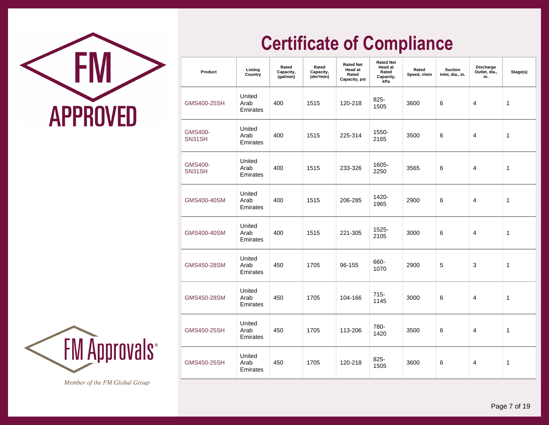



| Product                  | Listing<br>Country         | Rated<br>Capacity,<br>(gal/min) | Rated<br>Capacity,<br>(dm <sup>3</sup> /min) | <b>Rated Net</b><br>Head at<br>Rated<br>Capacity, psi | <b>Rated Net</b><br><b>Head at</b><br>Rated<br>Capacity,<br>kPa | Rated<br>Speed, r/min | <b>Suction</b><br>Inlet, dia., in. | <b>Discharge</b><br>Outlet, dia.,<br>in. | Stage(s) |
|--------------------------|----------------------------|---------------------------------|----------------------------------------------|-------------------------------------------------------|-----------------------------------------------------------------|-----------------------|------------------------------------|------------------------------------------|----------|
| GMS400-25SH              | United<br>Arab<br>Emirates | 400                             | 1515                                         | 120-218                                               | 825-<br>1505                                                    | 3600                  | 6                                  | 4                                        | 1        |
| <b>GMS400-</b><br>SN31SH | United<br>Arab<br>Emirates | 400                             | 1515                                         | 225-314                                               | 1550-<br>2165                                                   | 3500                  | 6                                  | 4                                        | 1        |
| <b>GMS400-</b><br>SN31SH | United<br>Arab<br>Emirates | 400                             | 1515                                         | 233-326                                               | 1605-<br>2250                                                   | 3565                  | 6                                  | 4                                        | 1        |
| GMS400-40SM              | United<br>Arab<br>Emirates | 400                             | 1515                                         | 206-285                                               | 1420-<br>1965                                                   | 2900                  | 6                                  | 4                                        | 1        |
| GMS400-40SM              | United<br>Arab<br>Emirates | 400                             | 1515                                         | 221-305                                               | 1525-<br>2105                                                   | 3000                  | 6                                  | 4                                        | 1        |
| GMS450-28SM              | United<br>Arab<br>Emirates | 450                             | 1705                                         | 96-155                                                | 660-<br>1070                                                    | 2900                  | 5                                  | 3                                        | 1        |
| GMS450-28SM              | United<br>Arab<br>Emirates | 450                             | 1705                                         | 104-166                                               | $715 -$<br>1145                                                 | 3000                  | 6                                  | 4                                        | 1        |
| GMS450-25SH              | United<br>Arab<br>Emirates | 450                             | 1705                                         | 113-206                                               | 780-<br>1420                                                    | 3500                  | 6                                  | 4                                        | 1        |
| <b>GMS450-25SH</b>       | United<br>Arab<br>Emirates | 450                             | 1705                                         | 120-218                                               | 825-<br>1505                                                    | 3600                  | 6                                  | 4                                        | 1        |

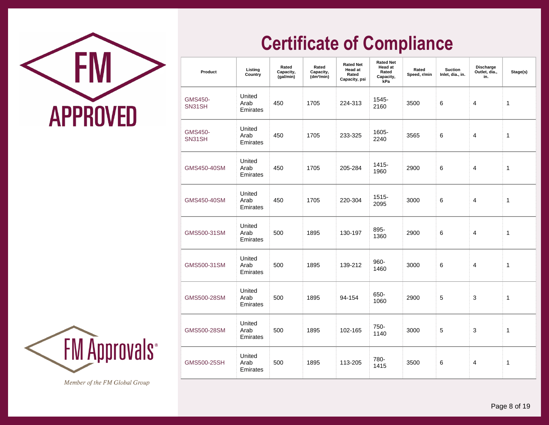



| Product                  | Listing<br>Country         | Rated<br>Capacity,<br>(gal/min) | Rated<br>Capacity,<br>(dm <sup>3</sup> /min) | <b>Rated Net</b><br>Head at<br>Rated<br>Capacity, psi | <b>Rated Net</b><br>Head at<br>Rated<br>Capacity,<br>kPa | Rated<br>Speed, r/min | <b>Suction</b><br>Inlet, dia., in. | <b>Discharge</b><br>Outlet, dia.,<br>in. | Stage(s) |
|--------------------------|----------------------------|---------------------------------|----------------------------------------------|-------------------------------------------------------|----------------------------------------------------------|-----------------------|------------------------------------|------------------------------------------|----------|
| <b>GMS450-</b><br>SN31SH | United<br>Arab<br>Emirates | 450                             | 1705                                         | 224-313                                               | 1545-<br>2160                                            | 3500                  | 6                                  | 4                                        | 1        |
| <b>GMS450-</b><br>SN31SH | United<br>Arab<br>Emirates | 450                             | 1705                                         | 233-325                                               | 1605-<br>2240                                            | 3565                  | 6                                  | 4                                        | 1        |
| GMS450-40SM              | United<br>Arab<br>Emirates | 450                             | 1705                                         | 205-284                                               | 1415-<br>1960                                            | 2900                  | 6                                  | 4                                        | 1        |
| GMS450-40SM              | United<br>Arab<br>Emirates | 450                             | 1705                                         | 220-304                                               | 1515-<br>2095                                            | 3000                  | 6                                  | 4                                        | 1        |
| GMS500-31SM              | United<br>Arab<br>Emirates | 500                             | 1895                                         | 130-197                                               | 895-<br>1360                                             | 2900                  | 6                                  | 4                                        | 1        |
| GMS500-31SM              | United<br>Arab<br>Emirates | 500                             | 1895                                         | 139-212                                               | 960-<br>1460                                             | 3000                  | 6                                  | 4                                        | 1        |
| GMS500-28SM              | United<br>Arab<br>Emirates | 500                             | 1895                                         | 94-154                                                | 650-<br>1060                                             | 2900                  | 5                                  | 3                                        | 1        |
| GMS500-28SM              | United<br>Arab<br>Emirates | 500                             | 1895                                         | 102-165                                               | 750-<br>1140                                             | 3000                  | 5                                  | 3                                        | 1        |
| GMS500-25SH              | United<br>Arab<br>Emirates | 500                             | 1895                                         | 113-205                                               | 780-<br>1415                                             | 3500                  | 6                                  | 4                                        | 1        |

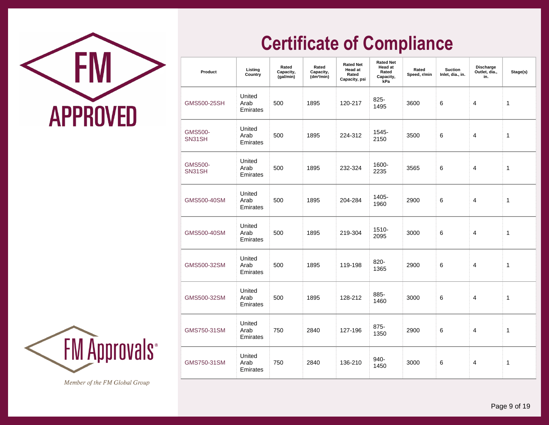



| Product                  | Listing<br>Country         | Rated<br>Capacity,<br>(gal/min) | Rated<br>Capacity,<br>(dm <sup>3</sup> /min) | <b>Rated Net</b><br>Head at<br>Rated<br>Capacity, psi | <b>Rated Net</b><br><b>Head at</b><br>Rated<br>Capacity,<br>kPa | Rated<br>Speed, r/min | <b>Suction</b><br>Inlet, dia., in. | Discharge<br>Outlet, dia.,<br>in. | Stage(s) |
|--------------------------|----------------------------|---------------------------------|----------------------------------------------|-------------------------------------------------------|-----------------------------------------------------------------|-----------------------|------------------------------------|-----------------------------------|----------|
| GMS500-25SH              | United<br>Arab<br>Emirates | 500                             | 1895                                         | 120-217                                               | 825-<br>1495                                                    | 3600                  | 6                                  | 4                                 | 1        |
| <b>GMS500-</b><br>SN31SH | United<br>Arab<br>Emirates | 500                             | 1895                                         | 224-312                                               | 1545-<br>2150                                                   | 3500                  | 6                                  | 4                                 | 1        |
| <b>GMS500-</b><br>SN31SH | United<br>Arab<br>Emirates | 500                             | 1895                                         | 232-324                                               | 1600-<br>2235                                                   | 3565                  | 6                                  | 4                                 | 1        |
| GMS500-40SM              | United<br>Arab<br>Emirates | 500                             | 1895                                         | 204-284                                               | 1405-<br>1960                                                   | 2900                  | 6                                  | 4                                 | 1        |
| GMS500-40SM              | United<br>Arab<br>Emirates | 500                             | 1895                                         | 219-304                                               | 1510-<br>2095                                                   | 3000                  | 6                                  | $\overline{4}$                    | 1        |
| GMS500-32SM              | United<br>Arab<br>Emirates | 500                             | 1895                                         | 119-198                                               | 820-<br>1365                                                    | 2900                  | 6                                  | 4                                 | 1        |
| GMS500-32SM              | United<br>Arab<br>Emirates | 500                             | 1895                                         | 128-212                                               | 885-<br>1460                                                    | 3000                  | 6                                  | 4                                 | 1        |
| GMS750-31SM              | United<br>Arab<br>Emirates | 750                             | 2840                                         | 127-196                                               | 875-<br>1350                                                    | 2900                  | 6                                  | 4                                 | 1        |
| GMS750-31SM              | United<br>Arab<br>Emirates | 750                             | 2840                                         | 136-210                                               | 940-<br>1450                                                    | 3000                  | 6                                  | 4                                 | 1        |

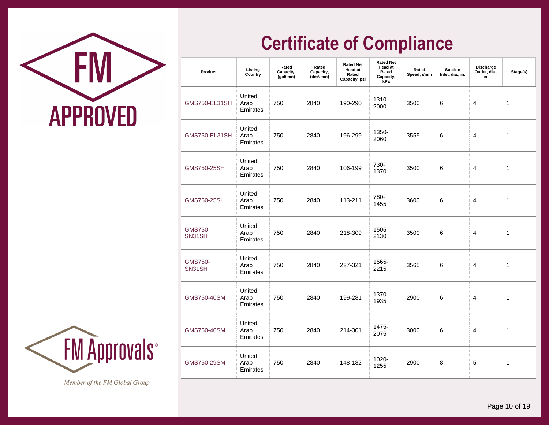

| Product                  | Listing<br>Country         | Rated<br>Capacity,<br>(gal/min) | Rated<br>Capacity,<br>(dm <sup>3</sup> /min) | <b>Rated Net</b><br><b>Head at</b><br>Rated<br>Capacity, psi | <b>Rated Net</b><br><b>Head at</b><br>Rated<br>Capacity,<br>kPa | Rated<br>Speed, r/min | <b>Suction</b><br>Inlet, dia., in. | <b>Discharge</b><br>Outlet, dia.,<br>in. | Stage(s) |
|--------------------------|----------------------------|---------------------------------|----------------------------------------------|--------------------------------------------------------------|-----------------------------------------------------------------|-----------------------|------------------------------------|------------------------------------------|----------|
| GMS750-EL31SH            | United<br>Arab<br>Emirates | 750                             | 2840                                         | 190-290                                                      | 1310-<br>2000                                                   | 3500                  | 6                                  | 4                                        | 1        |
| <b>GMS750-EL31SH</b>     | United<br>Arab<br>Emirates | 750                             | 2840                                         | 196-299                                                      | 1350-<br>2060                                                   | 3555                  | 6                                  | 4                                        | 1        |
| GMS750-25SH              | United<br>Arab<br>Emirates | 750                             | 2840                                         | 106-199                                                      | 730-<br>1370                                                    | 3500                  | 6                                  | 4                                        | 1        |
| GMS750-25SH              | United<br>Arab<br>Emirates | 750                             | 2840                                         | 113-211                                                      | 780-<br>1455                                                    | 3600                  | 6                                  | 4                                        | 1        |
| <b>GMS750-</b><br>SN31SH | United<br>Arab<br>Emirates | 750                             | 2840                                         | 218-309                                                      | 1505-<br>2130                                                   | 3500                  | 6                                  | 4                                        | 1        |
| <b>GMS750-</b><br>SN31SH | United<br>Arab<br>Emirates | 750                             | 2840                                         | 227-321                                                      | 1565-<br>2215                                                   | 3565                  | 6                                  | 4                                        | 1        |
| GMS750-40SM              | United<br>Arab<br>Emirates | 750                             | 2840                                         | 199-281                                                      | 1370-<br>1935                                                   | 2900                  | 6                                  | 4                                        | 1        |
| GMS750-40SM              | United<br>Arab<br>Emirates | 750                             | 2840                                         | 214-301                                                      | 1475-<br>2075                                                   | 3000                  | 6                                  | 4                                        | 1        |
| GMS750-29SM              | United<br>Arab<br>Emirates | 750                             | 2840                                         | 148-182                                                      | 1020-<br>1255                                                   | 2900                  | 8                                  | 5                                        | 1        |

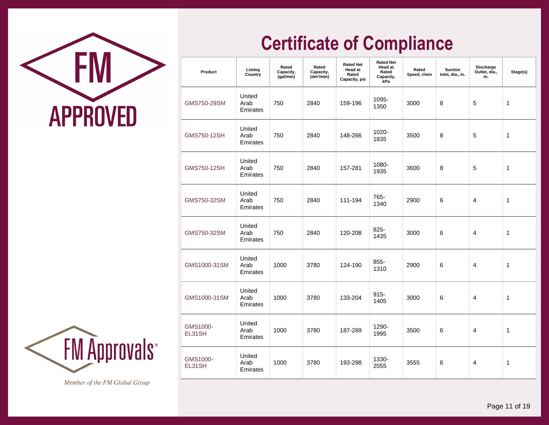

| Product            | Listing<br>Country         | Rated<br>Capacity,<br>(gal/min) | Rated<br>Capacity,<br>(dm <sup>3</sup> /min) | <b>Rated Net</b><br><b>Head at</b><br>Rated<br>Capacity, psi | <b>Rated Net</b><br>Head at<br>Rated<br>Capacity,<br>kPa | Rated<br>Speed, r/min | <b>Suction</b><br>Inlet, dia., in. | <b>Discharge</b><br>Outlet, dia.,<br>in. | Stage(s) |
|--------------------|----------------------------|---------------------------------|----------------------------------------------|--------------------------------------------------------------|----------------------------------------------------------|-----------------------|------------------------------------|------------------------------------------|----------|
| GMS750-29SM        | United<br>Arab<br>Emirates | 750                             | 2840                                         | 159-196                                                      | 1095-<br>1350                                            | 3000                  | 8                                  | 5                                        | 1        |
| <b>GMS750-12SH</b> | United<br>Arab<br>Emirates | 750                             | 2840                                         | 148-266                                                      | 1020-<br>1835                                            | 3500                  | 8                                  | 5                                        | 1        |
| <b>GMS750-12SH</b> | United<br>Arab<br>Emirates | 750                             | 2840                                         | 157-281                                                      | 1080-<br>1935                                            | 3600                  | 8                                  | 5                                        | 1        |
| GMS750-32SM        | United<br>Arab<br>Emirates | 750                             | 2840                                         | 111-194                                                      | 765-<br>1340                                             | 2900                  | 6                                  | 4                                        | 1        |
| GMS750-32SM        | United<br>Arab<br>Emirates | 750                             | 2840                                         | 120-208                                                      | 825-<br>1435                                             | 3000                  | 6                                  | 4                                        | 1        |
| GMS1000-31SM       | United<br>Arab<br>Emirates | 1000                            | 3780                                         | 124-190                                                      | $855 -$<br>1310                                          | 2900                  | 6                                  | 4                                        | 1        |
| GMS1000-31SM       | United<br>Arab<br>Emirates | 1000                            | 3780                                         | 133-204                                                      | $915 -$<br>1405                                          | 3000                  | 6                                  | 4                                        | 1        |
| GMS1000-<br>EL31SH | United<br>Arab<br>Emirates | 1000                            | 3780                                         | 187-289                                                      | 1290-<br>1995                                            | 3500                  | 6                                  | 4                                        | 1        |
| GMS1000-<br>EL31SH | United<br>Arab<br>Emirates | 1000                            | 3780                                         | 193-298                                                      | 1330-<br>2055                                            | 3555                  | 6                                  | 4                                        | 1        |

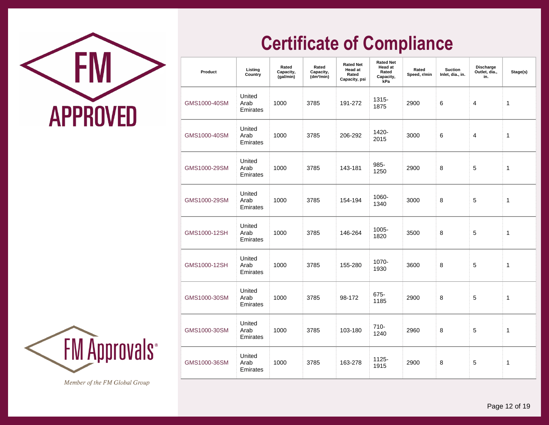

| Product      | Listing<br>Country         | Rated<br>Capacity,<br>(gal/min) | Rated<br>Capacity,<br>(dm <sup>3</sup> /min) | <b>Rated Net</b><br><b>Head at</b><br>Rated<br>Capacity, psi | <b>Rated Net</b><br><b>Head at</b><br>Rated<br>Capacity,<br>kPa | Rated<br>Speed, r/min | <b>Suction</b><br>Inlet, dia., in. | Discharge<br>Outlet, dia.,<br>in. | Stage(s) |
|--------------|----------------------------|---------------------------------|----------------------------------------------|--------------------------------------------------------------|-----------------------------------------------------------------|-----------------------|------------------------------------|-----------------------------------|----------|
| GMS1000-40SM | United<br>Arab<br>Emirates | 1000                            | 3785                                         | 191-272                                                      | 1315-<br>1875                                                   | 2900                  | 6                                  | 4                                 | 1        |
| GMS1000-40SM | United<br>Arab<br>Emirates | 1000                            | 3785                                         | 206-292                                                      | 1420-<br>2015                                                   | 3000                  | 6                                  | 4                                 | 1        |
| GMS1000-29SM | United<br>Arab<br>Emirates | 1000                            | 3785                                         | 143-181                                                      | 985-<br>1250                                                    | 2900                  | 8                                  | 5                                 | 1        |
| GMS1000-29SM | United<br>Arab<br>Emirates | 1000                            | 3785                                         | 154-194                                                      | 1060-<br>1340                                                   | 3000                  | 8                                  | 5                                 | 1        |
| GMS1000-12SH | United<br>Arab<br>Emirates | 1000                            | 3785                                         | 146-264                                                      | 1005-<br>1820                                                   | 3500                  | 8                                  | 5                                 | 1        |
| GMS1000-12SH | United<br>Arab<br>Emirates | 1000                            | 3785                                         | 155-280                                                      | 1070-<br>1930                                                   | 3600                  | 8                                  | 5                                 | 1        |
| GMS1000-30SM | United<br>Arab<br>Emirates | 1000                            | 3785                                         | 98-172                                                       | 675-<br>1185                                                    | 2900                  | 8                                  | 5                                 | 1        |
| GMS1000-30SM | United<br>Arab<br>Emirates | 1000                            | 3785                                         | 103-180                                                      | $710 -$<br>1240                                                 | 2960                  | 8                                  | 5                                 | 1        |
| GMS1000-36SM | United<br>Arab<br>Emirates | 1000                            | 3785                                         | 163-278                                                      | 1125-<br>1915                                                   | 2900                  | 8                                  | 5                                 | 1        |

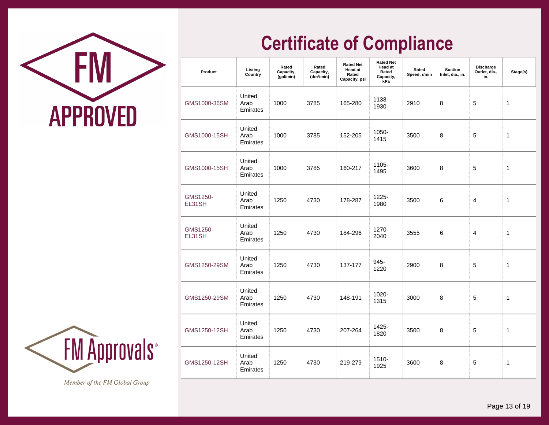

| Product            | Listing<br>Country         | Rated<br>Capacity,<br>(gal/min) | Rated<br>Capacity,<br>(dm <sup>3</sup> /min) | <b>Rated Net</b><br><b>Head at</b><br>Rated<br>Capacity, psi | <b>Rated Net</b><br>Head at<br>Rated<br>Capacity,<br>kPa | Rated<br>Speed, r/min | <b>Suction</b><br>Inlet, dia., in. | Discharge<br>Outlet, dia.,<br>in. | Stage(s) |
|--------------------|----------------------------|---------------------------------|----------------------------------------------|--------------------------------------------------------------|----------------------------------------------------------|-----------------------|------------------------------------|-----------------------------------|----------|
| GMS1000-36SM       | United<br>Arab<br>Emirates | 1000                            | 3785                                         | 165-280                                                      | 1138-<br>1930                                            | 2910                  | 8                                  | 5                                 | 1        |
| GMS1000-15SH       | United<br>Arab<br>Emirates | 1000                            | 3785                                         | 152-205                                                      | 1050-<br>1415                                            | 3500                  | 8                                  | 5                                 | 1        |
| GMS1000-15SH       | United<br>Arab<br>Emirates | 1000                            | 3785                                         | 160-217                                                      | 1105-<br>1495                                            | 3600                  | 8                                  | 5                                 | 1        |
| GMS1250-<br>EL31SH | United<br>Arab<br>Emirates | 1250                            | 4730                                         | 178-287                                                      | 1225-<br>1980                                            | 3500                  | 6                                  | 4                                 | 1        |
| GMS1250-<br>EL31SH | United<br>Arab<br>Emirates | 1250                            | 4730                                         | 184-296                                                      | 1270-<br>2040                                            | 3555                  | 6                                  | 4                                 | 1        |
| GMS1250-29SM       | United<br>Arab<br>Emirates | 1250                            | 4730                                         | 137-177                                                      | 945-<br>1220                                             | 2900                  | 8                                  | 5                                 | 1        |
| GMS1250-29SM       | United<br>Arab<br>Emirates | 1250                            | 4730                                         | 148-191                                                      | 1020-<br>1315                                            | 3000                  | 8                                  | 5                                 | 1        |
| GMS1250-12SH       | United<br>Arab<br>Emirates | 1250                            | 4730                                         | 207-264                                                      | 1425-<br>1820                                            | 3500                  | 8                                  | 5                                 | 1        |
| GMS1250-12SH       | United<br>Arab<br>Emirates | 1250                            | 4730                                         | 219-279                                                      | 1510-<br>1925                                            | 3600                  | 8                                  | 5                                 | 1        |

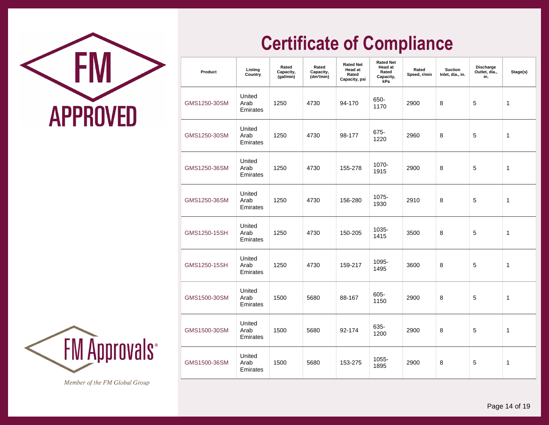

| Product      | Listing<br>Country         | Rated<br>Capacity,<br>(gal/min) | Rated<br>Capacity,<br>(dm <sup>3</sup> /min) | <b>Rated Net</b><br><b>Head at</b><br>Rated<br>Capacity, psi | <b>Rated Net</b><br>Head at<br>Rated<br>Capacity,<br>kPa | Rated<br>Speed, r/min | <b>Suction</b><br>Inlet, dia., in. | <b>Discharge</b><br>Outlet, dia.,<br>in. | Stage(s) |
|--------------|----------------------------|---------------------------------|----------------------------------------------|--------------------------------------------------------------|----------------------------------------------------------|-----------------------|------------------------------------|------------------------------------------|----------|
| GMS1250-30SM | United<br>Arab<br>Emirates | 1250                            | 4730                                         | 94-170                                                       | 650-<br>1170                                             | 2900                  | 8                                  | 5                                        | 1        |
| GMS1250-30SM | United<br>Arab<br>Emirates | 1250                            | 4730                                         | 98-177                                                       | 675-<br>1220                                             | 2960                  | 8                                  | 5                                        | 1        |
| GMS1250-36SM | United<br>Arab<br>Emirates | 1250                            | 4730                                         | 155-278                                                      | 1070-<br>1915                                            | 2900                  | 8                                  | 5                                        | 1        |
| GMS1250-36SM | United<br>Arab<br>Emirates | 1250                            | 4730                                         | 156-280                                                      | 1075-<br>1930                                            | 2910                  | 8                                  | 5                                        | 1        |
| GMS1250-15SH | United<br>Arab<br>Emirates | 1250                            | 4730                                         | 150-205                                                      | 1035-<br>1415                                            | 3500                  | 8                                  | 5                                        | 1        |
| GMS1250-15SH | United<br>Arab<br>Emirates | 1250                            | 4730                                         | 159-217                                                      | 1095-<br>1495                                            | 3600                  | 8                                  | 5                                        | 1        |
| GMS1500-30SM | United<br>Arab<br>Emirates | 1500                            | 5680                                         | 88-167                                                       | 605-<br>1150                                             | 2900                  | 8                                  | 5                                        | 1        |
| GMS1500-30SM | United<br>Arab<br>Emirates | 1500                            | 5680                                         | 92-174                                                       | 635-<br>1200                                             | 2900                  | 8                                  | 5                                        | 1        |
| GMS1500-36SM | United<br>Arab<br>Emirates | 1500                            | 5680                                         | 153-275                                                      | 1055-<br>1895                                            | 2900                  | 8                                  | 5                                        | 1        |

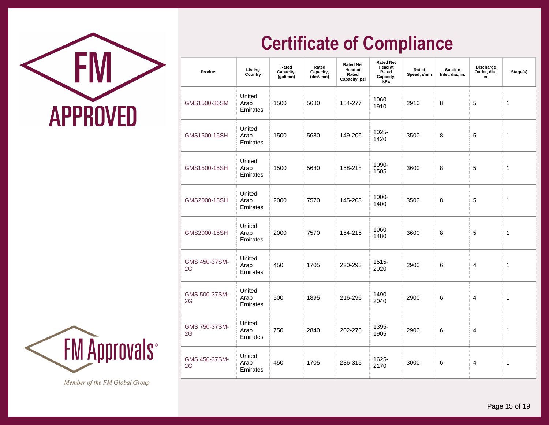

| Product             | Listing<br>Country         | Rated<br>Capacity,<br>(gal/min) | Rated<br>Capacity,<br>(dm <sup>3</sup> /min) | <b>Rated Net</b><br>Head at<br>Rated<br>Capacity, psi | <b>Rated Net</b><br><b>Head at</b><br>Rated<br>Capacity,<br>kPa | Rated<br>Speed, r/min | <b>Suction</b><br>Inlet, dia., in. | Discharge<br>Outlet, dia.,<br>in. | Stage(s)     |
|---------------------|----------------------------|---------------------------------|----------------------------------------------|-------------------------------------------------------|-----------------------------------------------------------------|-----------------------|------------------------------------|-----------------------------------|--------------|
| GMS1500-36SM        | United<br>Arab<br>Emirates | 1500                            | 5680                                         | 154-277                                               | 1060-<br>1910                                                   | 2910                  | 8                                  | 5                                 | 1            |
| GMS1500-15SH        | United<br>Arab<br>Emirates | 1500                            | 5680                                         | 149-206                                               | 1025-<br>1420                                                   | 3500                  | 8                                  | 5                                 | $\mathbf{1}$ |
| GMS1500-15SH        | United<br>Arab<br>Emirates | 1500                            | 5680                                         | 158-218                                               | 1090-<br>1505                                                   | 3600                  | 8                                  | 5                                 | 1            |
| GMS2000-15SH        | United<br>Arab<br>Emirates | 2000                            | 7570                                         | 145-203                                               | 1000-<br>1400                                                   | 3500                  | 8                                  | 5                                 | $\mathbf{1}$ |
| GMS2000-15SH        | United<br>Arab<br>Emirates | 2000                            | 7570                                         | 154-215                                               | 1060-<br>1480                                                   | 3600                  | 8                                  | 5                                 | 1            |
| GMS 450-37SM-<br>2G | United<br>Arab<br>Emirates | 450                             | 1705                                         | 220-293                                               | $1515 -$<br>2020                                                | 2900                  | 6                                  | 4                                 | 1            |
| GMS 500-37SM-<br>2G | United<br>Arab<br>Emirates | 500                             | 1895                                         | 216-296                                               | 1490-<br>2040                                                   | 2900                  | 6                                  | 4                                 | 1            |
| GMS 750-37SM-<br>2G | United<br>Arab<br>Emirates | 750                             | 2840                                         | 202-276                                               | 1395-<br>1905                                                   | 2900                  | 6                                  | 4                                 | 1            |
| GMS 450-37SM-<br>2G | United<br>Arab<br>Emirates | 450                             | 1705                                         | 236-315                                               | 1625-<br>2170                                                   | 3000                  | 6                                  | 4                                 | 1            |

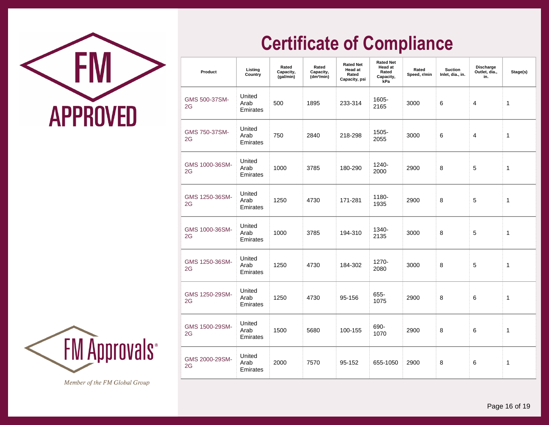



| Product              | Listing<br>Country         | Rated<br>Capacity,<br>(gal/min) | Rated<br>Capacity,<br>(dm <sup>3</sup> /min) | <b>Rated Net</b><br><b>Head at</b><br>Rated<br>Capacity, psi | <b>Rated Net</b><br><b>Head at</b><br>Rated<br>Capacity,<br>kPa | Rated<br>Speed, r/min | <b>Suction</b><br>Inlet, dia., in. | Discharge<br>Outlet, dia.,<br>in. | Stage(s)    |
|----------------------|----------------------------|---------------------------------|----------------------------------------------|--------------------------------------------------------------|-----------------------------------------------------------------|-----------------------|------------------------------------|-----------------------------------|-------------|
| GMS 500-37SM-<br>2G  | United<br>Arab<br>Emirates | 500                             | 1895                                         | 233-314                                                      | 1605-<br>2165                                                   | 3000                  | 6                                  | 4                                 | 1           |
| GMS 750-37SM-<br>2G  | United<br>Arab<br>Emirates | 750                             | 2840                                         | 218-298                                                      | 1505-<br>2055                                                   | 3000                  | 6                                  | 4                                 | $\mathbf 1$ |
| GMS 1000-36SM-<br>2G | United<br>Arab<br>Emirates | 1000                            | 3785                                         | 180-290                                                      | 1240-<br>2000                                                   | 2900                  | 8                                  | 5                                 | 1           |
| GMS 1250-36SM-<br>2G | United<br>Arab<br>Emirates | 1250                            | 4730                                         | 171-281                                                      | 1180-<br>1935                                                   | 2900                  | 8                                  | 5                                 | 1           |
| GMS 1000-36SM-<br>2G | United<br>Arab<br>Emirates | 1000                            | 3785                                         | 194-310                                                      | 1340-<br>2135                                                   | 3000                  | 8                                  | 5                                 | 1           |
| GMS 1250-36SM-<br>2G | United<br>Arab<br>Emirates | 1250                            | 4730                                         | 184-302                                                      | 1270-<br>2080                                                   | 3000                  | 8                                  | 5                                 | 1           |
| GMS 1250-29SM-<br>2G | United<br>Arab<br>Emirates | 1250                            | 4730                                         | 95-156                                                       | 655-<br>1075                                                    | 2900                  | 8                                  | 6                                 | 1           |
| GMS 1500-29SM-<br>2G | United<br>Arab<br>Emirates | 1500                            | 5680                                         | 100-155                                                      | 690-<br>1070                                                    | 2900                  | 8                                  | 6                                 | 1           |
| GMS 2000-29SM-<br>2G | United<br>Arab<br>Emirates | 2000                            | 7570                                         | 95-152                                                       | 655-1050                                                        | 2900                  | 8                                  | 6                                 | 1           |

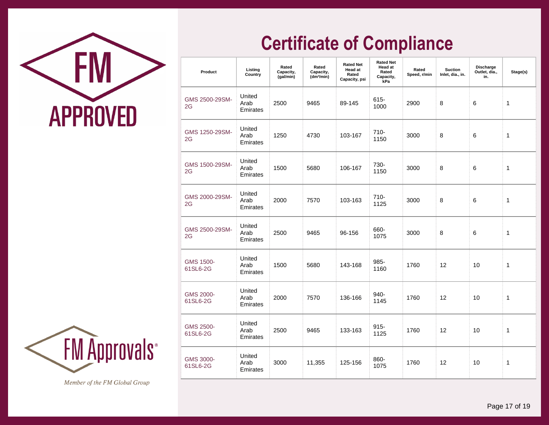

| Product               | Listing<br>Country         | Rated<br>Capacity,<br>(gal/min) | Rated<br>Capacity,<br>(dm <sup>3</sup> /min) | <b>Rated Net</b><br><b>Head at</b><br>Rated<br>Capacity, psi | <b>Rated Net</b><br><b>Head at</b><br>Rated<br>Capacity,<br>kPa | Rated<br>Speed, r/min | <b>Suction</b><br>Inlet, dia., in. | Discharge<br>Outlet, dia.,<br>in. | Stage(s) |
|-----------------------|----------------------------|---------------------------------|----------------------------------------------|--------------------------------------------------------------|-----------------------------------------------------------------|-----------------------|------------------------------------|-----------------------------------|----------|
| GMS 2500-29SM-<br>2G  | United<br>Arab<br>Emirates | 2500                            | 9465                                         | 89-145                                                       | $615 -$<br>1000                                                 | 2900                  | 8                                  | 6                                 | 1        |
| GMS 1250-29SM-<br>2G  | United<br>Arab<br>Emirates | 1250                            | 4730                                         | 103-167                                                      | 710-<br>1150                                                    | 3000                  | 8                                  | 6                                 | 1        |
| GMS 1500-29SM-<br>2G  | United<br>Arab<br>Emirates | 1500                            | 5680                                         | 106-167                                                      | 730-<br>1150                                                    | 3000                  | 8                                  | 6                                 | 1        |
| GMS 2000-29SM-<br>2G  | United<br>Arab<br>Emirates | 2000                            | 7570                                         | 103-163                                                      | $710 -$<br>1125                                                 | 3000                  | 8                                  | 6                                 | 1        |
| GMS 2500-29SM-<br>2G  | United<br>Arab<br>Emirates | 2500                            | 9465                                         | 96-156                                                       | 660-<br>1075                                                    | 3000                  | 8                                  | 6                                 | 1        |
| GMS 1500-<br>61SL6-2G | United<br>Arab<br>Emirates | 1500                            | 5680                                         | 143-168                                                      | 985-<br>1160                                                    | 1760                  | 12                                 | 10                                | 1        |
| GMS 2000-<br>61SL6-2G | United<br>Arab<br>Emirates | 2000                            | 7570                                         | 136-166                                                      | 940-<br>1145                                                    | 1760                  | 12                                 | 10                                | 1        |
| GMS 2500-<br>61SL6-2G | United<br>Arab<br>Emirates | 2500                            | 9465                                         | 133-163                                                      | $915 -$<br>1125                                                 | 1760                  | 12                                 | 10                                | 1        |
| GMS 3000-<br>61SL6-2G | United<br>Arab<br>Emirates | 3000                            | 11,355                                       | 125-156                                                      | 860-<br>1075                                                    | 1760                  | 12                                 | 10                                | 1        |

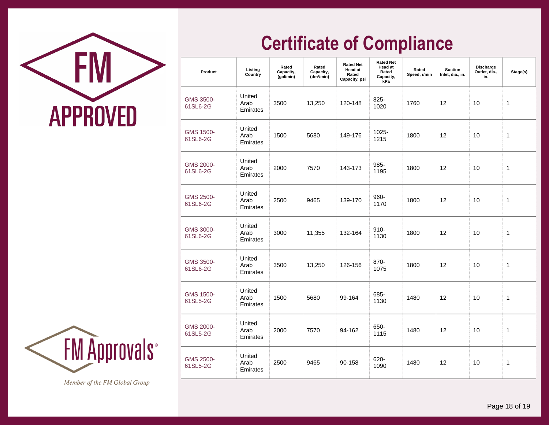



| Product               | Listing<br>Country         | Rated<br>Capacity,<br>(gal/min) | Rated<br>Capacity,<br>(dm <sup>3</sup> /min) | <b>Rated Net</b><br>Head at<br>Rated<br>Capacity, psi | <b>Rated Net</b><br><b>Head at</b><br>Rated<br>Capacity,<br>kPa | Rated<br>Speed, r/min | <b>Suction</b><br>Inlet, dia., in. | Discharge<br>Outlet, dia.,<br>in. | Stage(s) |
|-----------------------|----------------------------|---------------------------------|----------------------------------------------|-------------------------------------------------------|-----------------------------------------------------------------|-----------------------|------------------------------------|-----------------------------------|----------|
| GMS 3500-<br>61SL6-2G | United<br>Arab<br>Emirates | 3500                            | 13,250                                       | 120-148                                               | 825-<br>1020                                                    | 1760                  | 12                                 | 10                                | 1        |
| GMS 1500-<br>61SL6-2G | United<br>Arab<br>Emirates | 1500                            | 5680                                         | 149-176                                               | 1025-<br>1215                                                   | 1800                  | 12                                 | 10                                | 1        |
| GMS 2000-<br>61SL6-2G | United<br>Arab<br>Emirates | 2000                            | 7570                                         | 143-173                                               | 985-<br>1195                                                    | 1800                  | 12                                 | 10                                | 1        |
| GMS 2500-<br>61SL6-2G | United<br>Arab<br>Emirates | 2500                            | 9465                                         | 139-170                                               | 960-<br>1170                                                    | 1800                  | 12                                 | 10                                | 1        |
| GMS 3000-<br>61SL6-2G | United<br>Arab<br>Emirates | 3000                            | 11,355                                       | 132-164                                               | $910 -$<br>1130                                                 | 1800                  | 12                                 | 10                                | 1        |
| GMS 3500-<br>61SL6-2G | United<br>Arab<br>Emirates | 3500                            | 13,250                                       | 126-156                                               | 870-<br>1075                                                    | 1800                  | 12                                 | 10                                | 1        |
| GMS 1500-<br>61SL5-2G | United<br>Arab<br>Emirates | 1500                            | 5680                                         | 99-164                                                | 685-<br>1130                                                    | 1480                  | 12                                 | 10                                | 1        |
| GMS 2000-<br>61SL5-2G | United<br>Arab<br>Emirates | 2000                            | 7570                                         | 94-162                                                | 650-<br>1115                                                    | 1480                  | 12                                 | 10                                | 1        |
| GMS 2500-<br>61SL5-2G | United<br>Arab<br>Emirates | 2500                            | 9465                                         | 90-158                                                | 620-<br>1090                                                    | 1480                  | 12                                 | 10                                | 1        |